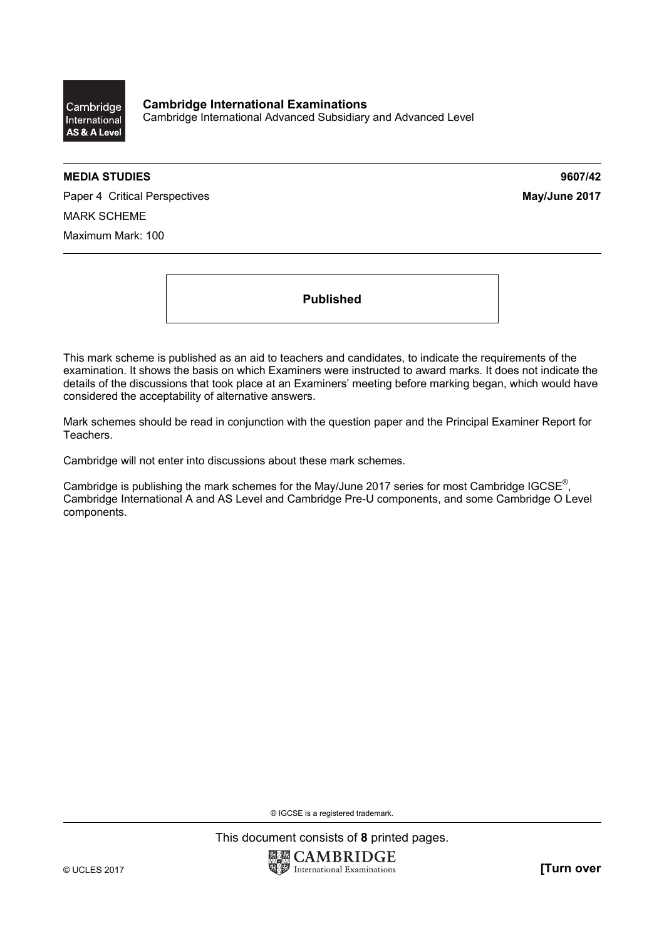Cambridge International AS & A Level

**Cambridge International Examinations**  Cambridge International Advanced Subsidiary and Advanced Level

## **MEDIA STUDIES 9607/42**

Paper 4 Critical Perspectives **May/June 2017** MARK SCHEME Maximum Mark: 100

**Published** 

This mark scheme is published as an aid to teachers and candidates, to indicate the requirements of the examination. It shows the basis on which Examiners were instructed to award marks. It does not indicate the details of the discussions that took place at an Examiners' meeting before marking began, which would have considered the acceptability of alternative answers.

Mark schemes should be read in conjunction with the question paper and the Principal Examiner Report for Teachers.

Cambridge will not enter into discussions about these mark schemes.

Cambridge is publishing the mark schemes for the May/June 2017 series for most Cambridge IGCSE<sup>®</sup>, Cambridge International A and AS Level and Cambridge Pre-U components, and some Cambridge O Level components.

® IGCSE is a registered trademark.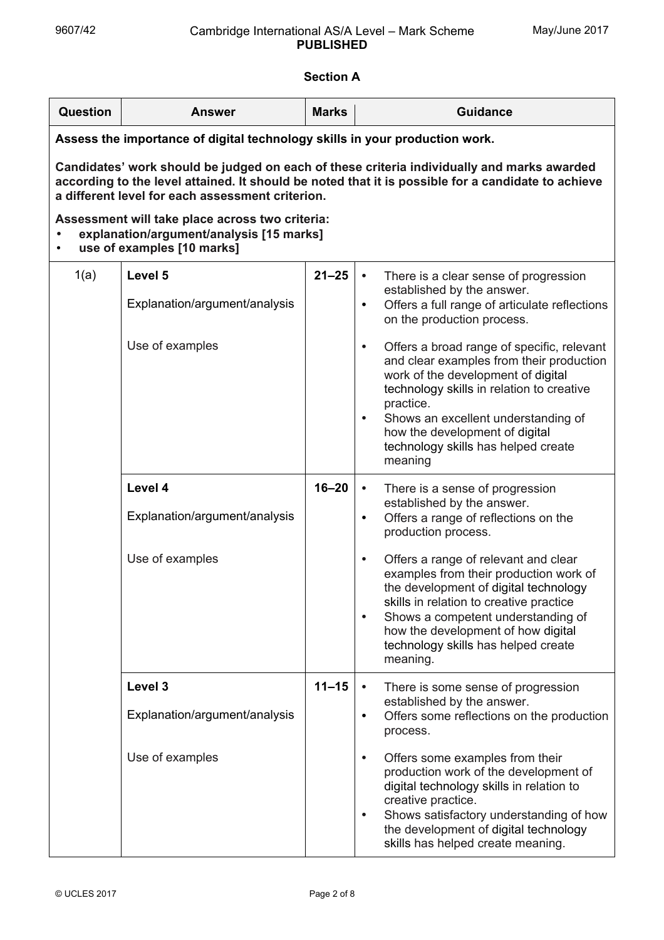## **Section A**

| Question                                                                                                                                                                                                                                             | <b>Answer</b>                                               | <b>Marks</b> | <b>Guidance</b>                                                                                                                                                                                                                                                                                                                                                                                                                                                                                                             |  |
|------------------------------------------------------------------------------------------------------------------------------------------------------------------------------------------------------------------------------------------------------|-------------------------------------------------------------|--------------|-----------------------------------------------------------------------------------------------------------------------------------------------------------------------------------------------------------------------------------------------------------------------------------------------------------------------------------------------------------------------------------------------------------------------------------------------------------------------------------------------------------------------------|--|
| Assess the importance of digital technology skills in your production work.                                                                                                                                                                          |                                                             |              |                                                                                                                                                                                                                                                                                                                                                                                                                                                                                                                             |  |
| Candidates' work should be judged on each of these criteria individually and marks awarded<br>according to the level attained. It should be noted that it is possible for a candidate to achieve<br>a different level for each assessment criterion. |                                                             |              |                                                                                                                                                                                                                                                                                                                                                                                                                                                                                                                             |  |
| Assessment will take place across two criteria:<br>explanation/argument/analysis [15 marks]<br>use of examples [10 marks]                                                                                                                            |                                                             |              |                                                                                                                                                                                                                                                                                                                                                                                                                                                                                                                             |  |
| 1(a)                                                                                                                                                                                                                                                 | Level 5<br>Explanation/argument/analysis<br>Use of examples | $21 - 25$    | There is a clear sense of progression<br>$\bullet$<br>established by the answer.<br>Offers a full range of articulate reflections<br>$\bullet$<br>on the production process.<br>Offers a broad range of specific, relevant<br>$\bullet$<br>and clear examples from their production<br>work of the development of digital<br>technology skills in relation to creative<br>practice.<br>Shows an excellent understanding of<br>$\bullet$<br>how the development of digital<br>technology skills has helped create<br>meaning |  |
|                                                                                                                                                                                                                                                      | Level 4<br>Explanation/argument/analysis<br>Use of examples | $16 - 20$    | There is a sense of progression<br>$\bullet$<br>established by the answer.<br>Offers a range of reflections on the<br>$\bullet$<br>production process.<br>Offers a range of relevant and clear<br>$\bullet$<br>examples from their production work of<br>the development of digital technology<br>skills in relation to creative practice<br>Shows a competent understanding of<br>$\bullet$<br>how the development of how digital<br>technology skills has helped create<br>meaning.                                       |  |
|                                                                                                                                                                                                                                                      | Level 3<br>Explanation/argument/analysis<br>Use of examples | $11 - 15$    | There is some sense of progression<br>established by the answer.<br>Offers some reflections on the production<br>$\bullet$<br>process.<br>Offers some examples from their<br>$\bullet$<br>production work of the development of<br>digital technology skills in relation to<br>creative practice.<br>Shows satisfactory understanding of how                                                                                                                                                                                |  |

the development of digital technology skills has helped create meaning.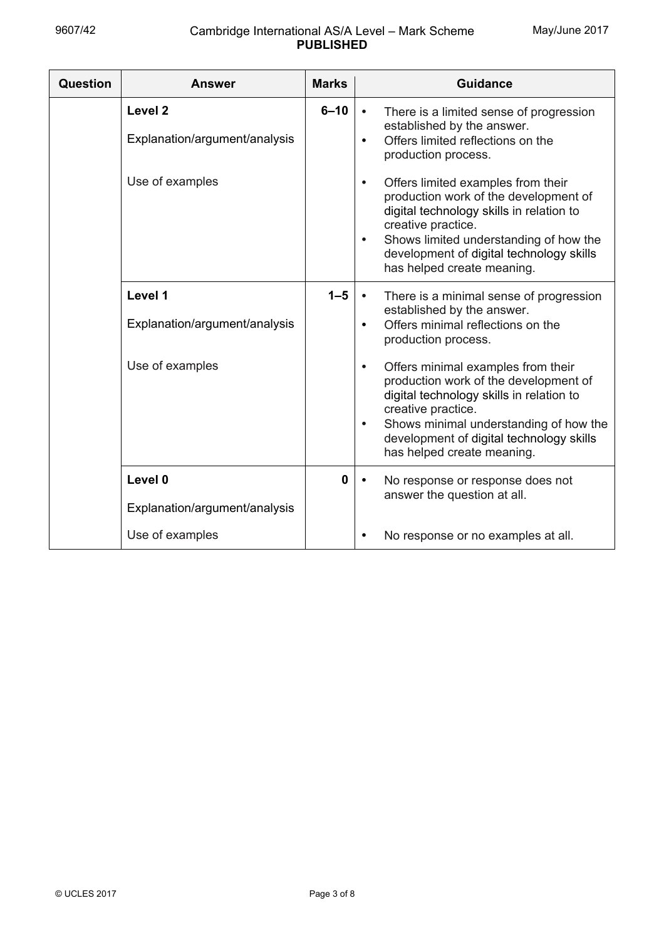| <b>Question</b> | <b>Answer</b>                                       | <b>Marks</b> | <b>Guidance</b>                                                                                                                                                                                                                                                                             |
|-----------------|-----------------------------------------------------|--------------|---------------------------------------------------------------------------------------------------------------------------------------------------------------------------------------------------------------------------------------------------------------------------------------------|
|                 | Level <sub>2</sub><br>Explanation/argument/analysis | $6 - 10$     | There is a limited sense of progression<br>$\bullet$<br>established by the answer.<br>Offers limited reflections on the<br>production process.                                                                                                                                              |
|                 | Use of examples                                     |              | Offers limited examples from their<br>$\bullet$<br>production work of the development of<br>digital technology skills in relation to<br>creative practice.<br>Shows limited understanding of how the<br>$\bullet$<br>development of digital technology skills<br>has helped create meaning. |
|                 | Level 1<br>Explanation/argument/analysis            | $1 - 5$      | There is a minimal sense of progression<br>$\bullet$<br>established by the answer.<br>Offers minimal reflections on the<br>production process.                                                                                                                                              |
|                 | Use of examples                                     |              | Offers minimal examples from their<br>$\bullet$<br>production work of the development of<br>digital technology skills in relation to<br>creative practice.<br>Shows minimal understanding of how the<br>$\bullet$<br>development of digital technology skills<br>has helped create meaning. |
|                 | Level 0<br>Explanation/argument/analysis            | $\mathbf{0}$ | No response or response does not<br>answer the question at all.                                                                                                                                                                                                                             |
|                 | Use of examples                                     |              | No response or no examples at all.                                                                                                                                                                                                                                                          |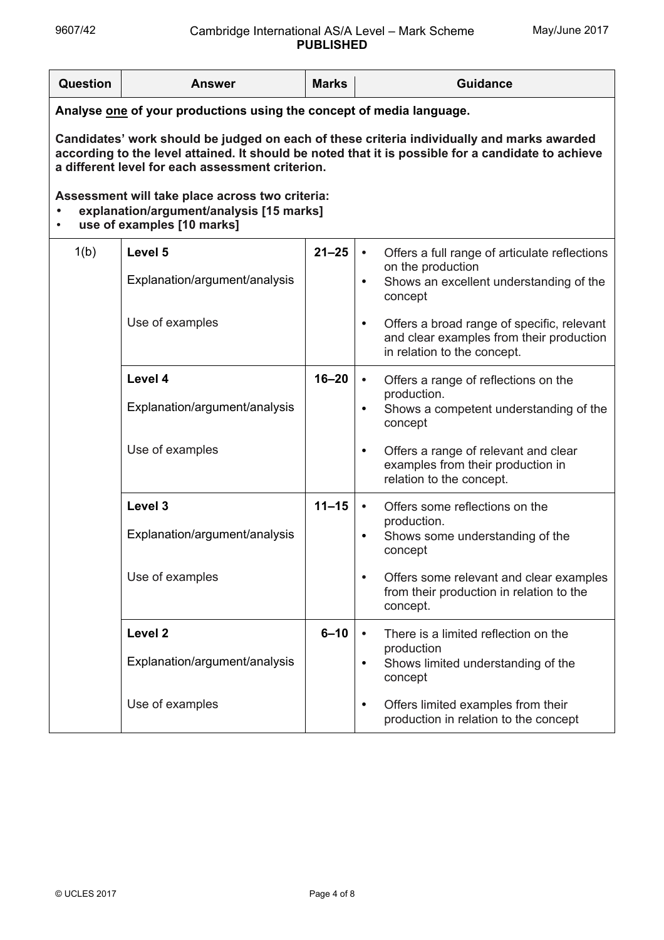| Question                                                                                                                                                                                                                                             | <b>Answer</b>                 | <b>Marks</b> |                             | <b>Guidance</b>                                                                                                       |
|------------------------------------------------------------------------------------------------------------------------------------------------------------------------------------------------------------------------------------------------------|-------------------------------|--------------|-----------------------------|-----------------------------------------------------------------------------------------------------------------------|
| Analyse one of your productions using the concept of media language.                                                                                                                                                                                 |                               |              |                             |                                                                                                                       |
| Candidates' work should be judged on each of these criteria individually and marks awarded<br>according to the level attained. It should be noted that it is possible for a candidate to achieve<br>a different level for each assessment criterion. |                               |              |                             |                                                                                                                       |
| Assessment will take place across two criteria:<br>explanation/argument/analysis [15 marks]<br>use of examples [10 marks]                                                                                                                            |                               |              |                             |                                                                                                                       |
| 1(b)                                                                                                                                                                                                                                                 | Level 5                       | $21 - 25$    | $\bullet$                   | Offers a full range of articulate reflections                                                                         |
|                                                                                                                                                                                                                                                      | Explanation/argument/analysis |              | ٠                           | on the production<br>Shows an excellent understanding of the<br>concept                                               |
|                                                                                                                                                                                                                                                      | Use of examples               |              | ٠                           | Offers a broad range of specific, relevant<br>and clear examples from their production<br>in relation to the concept. |
|                                                                                                                                                                                                                                                      | Level 4                       | $16 - 20$    | $\bullet$                   | Offers a range of reflections on the<br>production.                                                                   |
|                                                                                                                                                                                                                                                      | Explanation/argument/analysis |              | ٠                           | Shows a competent understanding of the<br>concept                                                                     |
|                                                                                                                                                                                                                                                      | Use of examples               |              | ٠                           | Offers a range of relevant and clear<br>examples from their production in<br>relation to the concept.                 |
|                                                                                                                                                                                                                                                      | Level 3                       | $11 - 15$    | $\bullet$                   | Offers some reflections on the                                                                                        |
|                                                                                                                                                                                                                                                      | Explanation/argument/analysis |              | production.<br>٠<br>concept | Shows some understanding of the                                                                                       |
|                                                                                                                                                                                                                                                      | Use of examples               |              |                             | Offers some relevant and clear examples<br>from their production in relation to the<br>concept.                       |
|                                                                                                                                                                                                                                                      | Level <sub>2</sub>            | $6 - 10$     | $\bullet$                   | There is a limited reflection on the<br>production                                                                    |
|                                                                                                                                                                                                                                                      | Explanation/argument/analysis |              | ٠                           | Shows limited understanding of the<br>concept                                                                         |
|                                                                                                                                                                                                                                                      | Use of examples               |              | ٠                           | Offers limited examples from their<br>production in relation to the concept                                           |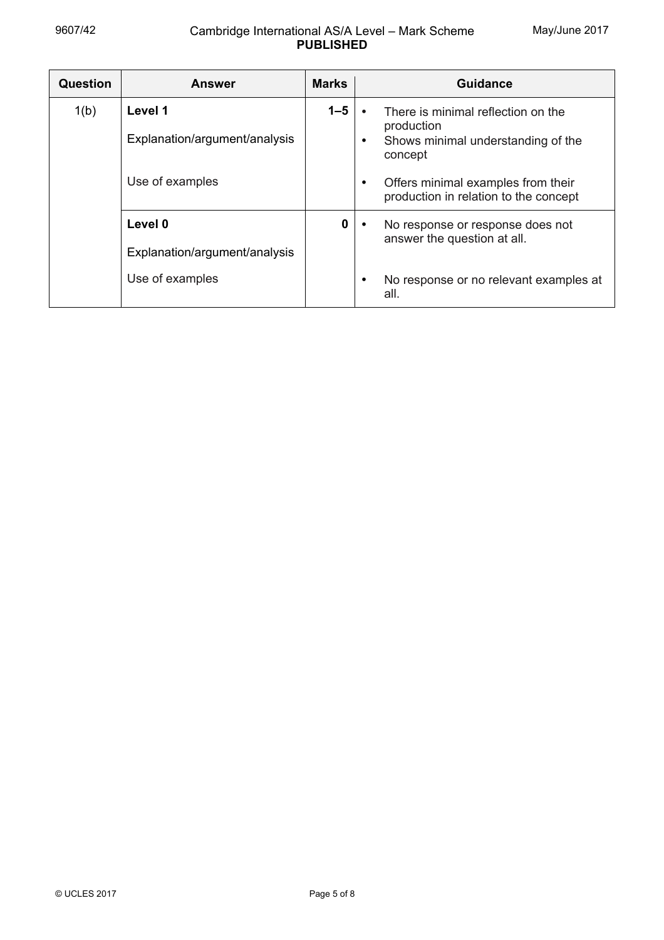| <b>Question</b> | <b>Answer</b>                            | <b>Marks</b> | Guidance                                                                                                       |
|-----------------|------------------------------------------|--------------|----------------------------------------------------------------------------------------------------------------|
| 1(b)            | Level 1<br>Explanation/argument/analysis | $1 - 5$      | There is minimal reflection on the<br>production<br>Shows minimal understanding of the<br>$\bullet$<br>concept |
|                 | Use of examples                          |              | Offers minimal examples from their<br>$\bullet$<br>production in relation to the concept                       |
|                 | Level 0                                  | $\mathbf 0$  | No response or response does not<br>$\bullet$                                                                  |
|                 | Explanation/argument/analysis            |              | answer the question at all.                                                                                    |
|                 | Use of examples                          |              | No response or no relevant examples at<br>$\bullet$<br>all.                                                    |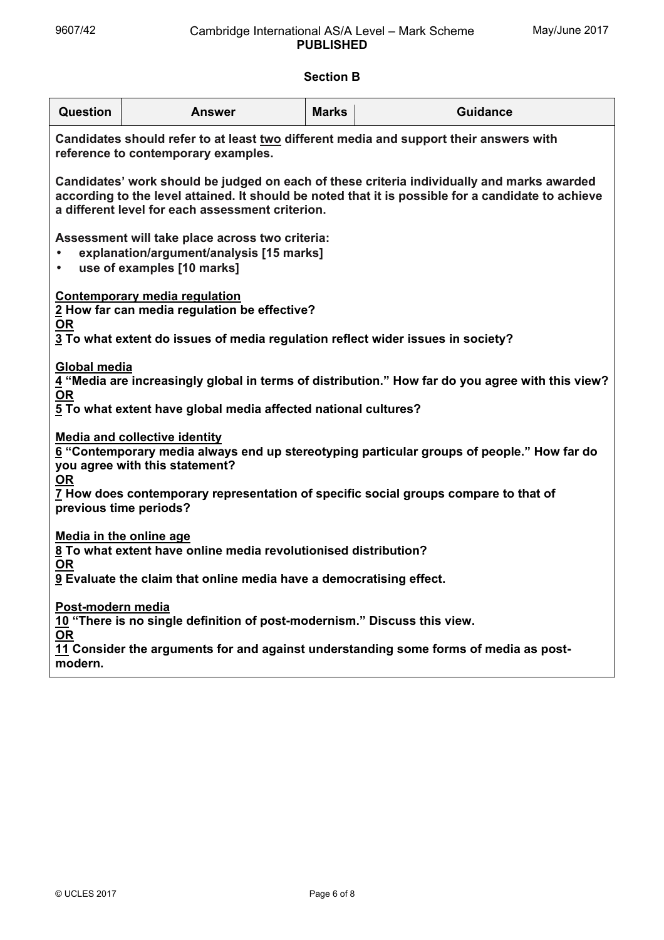## **Section B**

| <b>Question</b>                                                                                                                                                                                                                                                         | <b>Answer</b> | <b>Marks</b> | <b>Guidance</b> |  |
|-------------------------------------------------------------------------------------------------------------------------------------------------------------------------------------------------------------------------------------------------------------------------|---------------|--------------|-----------------|--|
| Candidates should refer to at least two different media and support their answers with<br>reference to contemporary examples.                                                                                                                                           |               |              |                 |  |
| Candidates' work should be judged on each of these criteria individually and marks awarded<br>according to the level attained. It should be noted that it is possible for a candidate to achieve<br>a different level for each assessment criterion.                    |               |              |                 |  |
| Assessment will take place across two criteria:<br>explanation/argument/analysis [15 marks]<br>use of examples [10 marks]<br>$\bullet$                                                                                                                                  |               |              |                 |  |
| <b>Contemporary media regulation</b><br>2 How far can media regulation be effective?<br>$\underline{\mathsf{OR}}$<br>3 To what extent do issues of media regulation reflect wider issues in society?                                                                    |               |              |                 |  |
| Global media<br>4 "Media are increasingly global in terms of distribution." How far do you agree with this view?<br>$OR$<br>5 To what extent have global media affected national cultures?                                                                              |               |              |                 |  |
| <b>Media and collective identity</b><br>6 "Contemporary media always end up stereotyping particular groups of people." How far do<br>you agree with this statement?<br><u>OR</u><br>7 How does contemporary representation of specific social groups compare to that of |               |              |                 |  |
| previous time periods?                                                                                                                                                                                                                                                  |               |              |                 |  |
| Media in the online age<br>8 To what extent have online media revolutionised distribution?<br><b>OR</b>                                                                                                                                                                 |               |              |                 |  |
| 9 Evaluate the claim that online media have a democratising effect.                                                                                                                                                                                                     |               |              |                 |  |
| Post-modern media<br>10 "There is no single definition of post-modernism." Discuss this view.<br><b>OR</b>                                                                                                                                                              |               |              |                 |  |
| 11 Consider the arguments for and against understanding some forms of media as post-<br>modern.                                                                                                                                                                         |               |              |                 |  |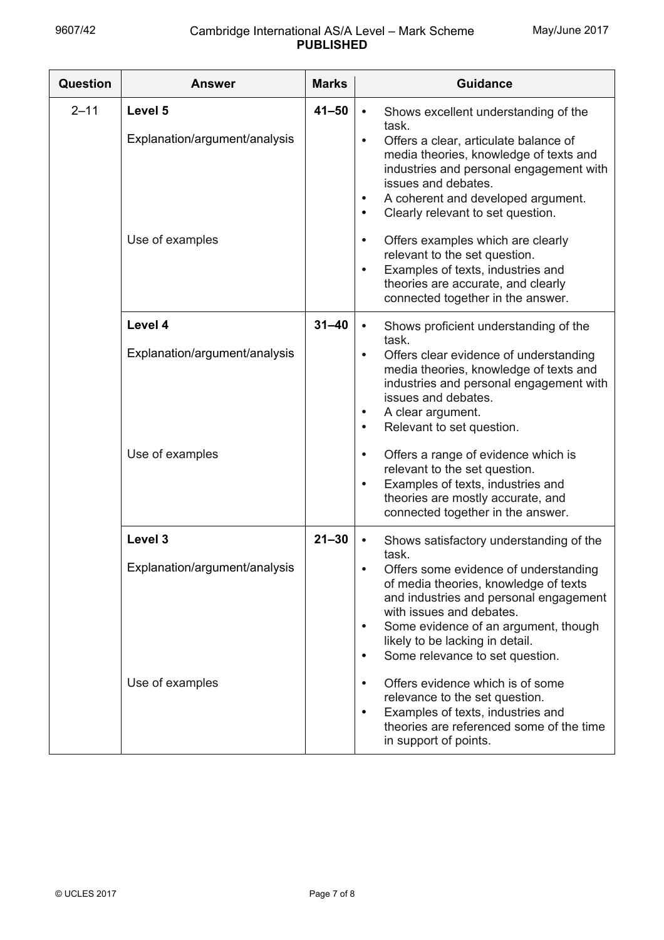| <b>Question</b> | <b>Answer</b>                                               | <b>Marks</b> | <b>Guidance</b>                                                                                                                                                                                                                                                                                                                                                                                                                                                                                                                                   |
|-----------------|-------------------------------------------------------------|--------------|---------------------------------------------------------------------------------------------------------------------------------------------------------------------------------------------------------------------------------------------------------------------------------------------------------------------------------------------------------------------------------------------------------------------------------------------------------------------------------------------------------------------------------------------------|
| $2 - 11$        | Level 5<br>Explanation/argument/analysis<br>Use of examples | $41 - 50$    | Shows excellent understanding of the<br>$\bullet$<br>task.<br>Offers a clear, articulate balance of<br>$\bullet$<br>media theories, knowledge of texts and<br>industries and personal engagement with<br>issues and debates.<br>A coherent and developed argument.<br>$\bullet$<br>Clearly relevant to set question.<br>$\bullet$<br>Offers examples which are clearly<br>$\bullet$<br>relevant to the set question.<br>Examples of texts, industries and<br>$\bullet$<br>theories are accurate, and clearly<br>connected together in the answer. |
|                 | Level 4<br>Explanation/argument/analysis                    | $31 - 40$    | Shows proficient understanding of the<br>$\bullet$<br>task.<br>Offers clear evidence of understanding<br>$\bullet$<br>media theories, knowledge of texts and<br>industries and personal engagement with<br>issues and debates.<br>A clear argument.<br>$\bullet$<br>Relevant to set question.<br>$\bullet$                                                                                                                                                                                                                                        |
|                 | Use of examples                                             |              | Offers a range of evidence which is<br>$\bullet$<br>relevant to the set question.<br>Examples of texts, industries and<br>$\bullet$<br>theories are mostly accurate, and<br>connected together in the answer.                                                                                                                                                                                                                                                                                                                                     |
|                 | Level 3<br>Explanation/argument/analysis                    | $21 - 30$    | Shows satisfactory understanding of the<br>$\bullet$<br>task.<br>Offers some evidence of understanding<br>of media theories, knowledge of texts<br>and industries and personal engagement<br>with issues and debates.<br>Some evidence of an argument, though<br>$\bullet$<br>likely to be lacking in detail.<br>Some relevance to set question.<br>٠                                                                                                                                                                                             |
|                 | Use of examples                                             |              | Offers evidence which is of some<br>$\bullet$<br>relevance to the set question.<br>Examples of texts, industries and<br>$\bullet$<br>theories are referenced some of the time<br>in support of points.                                                                                                                                                                                                                                                                                                                                            |